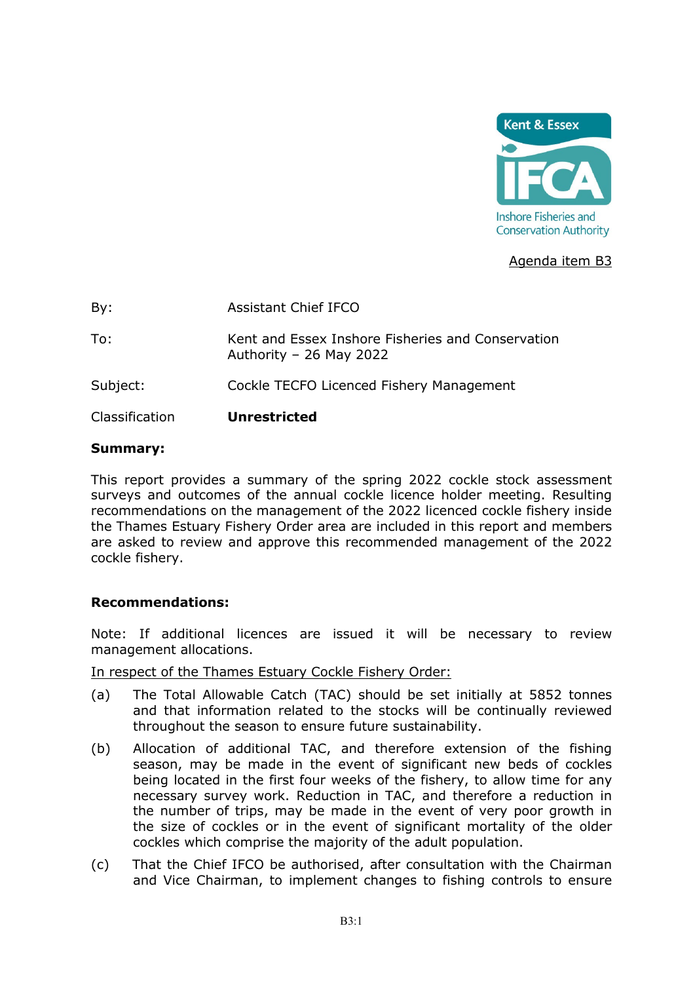

### Agenda item B3

By: Assistant Chief IFCO To: Kent and Essex Inshore Fisheries and Conservation Authority – 26 May 2022 Subject: Cockle TECFO Licenced Fishery Management

Classification **Unrestricted**

#### **Summary:**

This report provides a summary of the spring 2022 cockle stock assessment surveys and outcomes of the annual cockle licence holder meeting. Resulting recommendations on the management of the 2022 licenced cockle fishery inside the Thames Estuary Fishery Order area are included in this report and members are asked to review and approve this recommended management of the 2022 cockle fishery.

#### **Recommendations:**

Note: If additional licences are issued it will be necessary to review management allocations.

In respect of the Thames Estuary Cockle Fishery Order:

- (a) The Total Allowable Catch (TAC) should be set initially at 5852 tonnes and that information related to the stocks will be continually reviewed throughout the season to ensure future sustainability.
- (b) Allocation of additional TAC, and therefore extension of the fishing season, may be made in the event of significant new beds of cockles being located in the first four weeks of the fishery, to allow time for any necessary survey work. Reduction in TAC, and therefore a reduction in the number of trips, may be made in the event of very poor growth in the size of cockles or in the event of significant mortality of the older cockles which comprise the majority of the adult population.
- (c) That the Chief IFCO be authorised, after consultation with the Chairman and Vice Chairman, to implement changes to fishing controls to ensure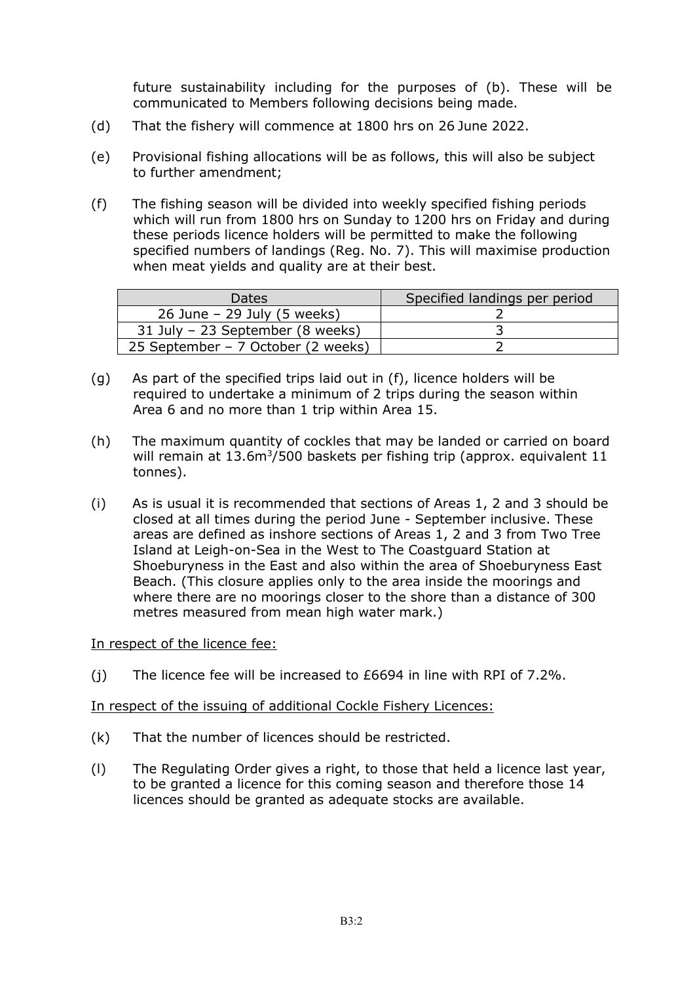future sustainability including for the purposes of (b). These will be communicated to Members following decisions being made.

- (d) That the fishery will commence at 1800 hrs on 26 June 2022.
- (e) Provisional fishing allocations will be as follows, this will also be subject to further amendment;
- (f) The fishing season will be divided into weekly specified fishing periods which will run from 1800 hrs on Sunday to 1200 hrs on Friday and during these periods licence holders will be permitted to make the following specified numbers of landings (Reg. No. 7). This will maximise production when meat yields and quality are at their best.

| <b>Dates</b>                       | Specified landings per period |
|------------------------------------|-------------------------------|
| $26$ June – 29 July (5 weeks)      |                               |
| 31 July - 23 September (8 weeks)   |                               |
| 25 September – 7 October (2 weeks) |                               |

- (g) As part of the specified trips laid out in (f), licence holders will be required to undertake a minimum of 2 trips during the season within Area 6 and no more than 1 trip within Area 15.
- (h) The maximum quantity of cockles that may be landed or carried on board will remain at 13.6m<sup>3</sup>/500 baskets per fishing trip (approx. equivalent 11 tonnes).
- (i) As is usual it is recommended that sections of Areas 1, 2 and 3 should be closed at all times during the period June - September inclusive. These areas are defined as inshore sections of Areas 1, 2 and 3 from Two Tree Island at Leigh-on-Sea in the West to The Coastguard Station at Shoeburyness in the East and also within the area of Shoeburyness East Beach. (This closure applies only to the area inside the moorings and where there are no moorings closer to the shore than a distance of 300 metres measured from mean high water mark.)

#### In respect of the licence fee:

(i) The licence fee will be increased to  $£6694$  in line with RPI of 7.2%.

#### In respect of the issuing of additional Cockle Fishery Licences:

- (k) That the number of licences should be restricted.
- (l) The Regulating Order gives a right, to those that held a licence last year, to be granted a licence for this coming season and therefore those 14 licences should be granted as adequate stocks are available.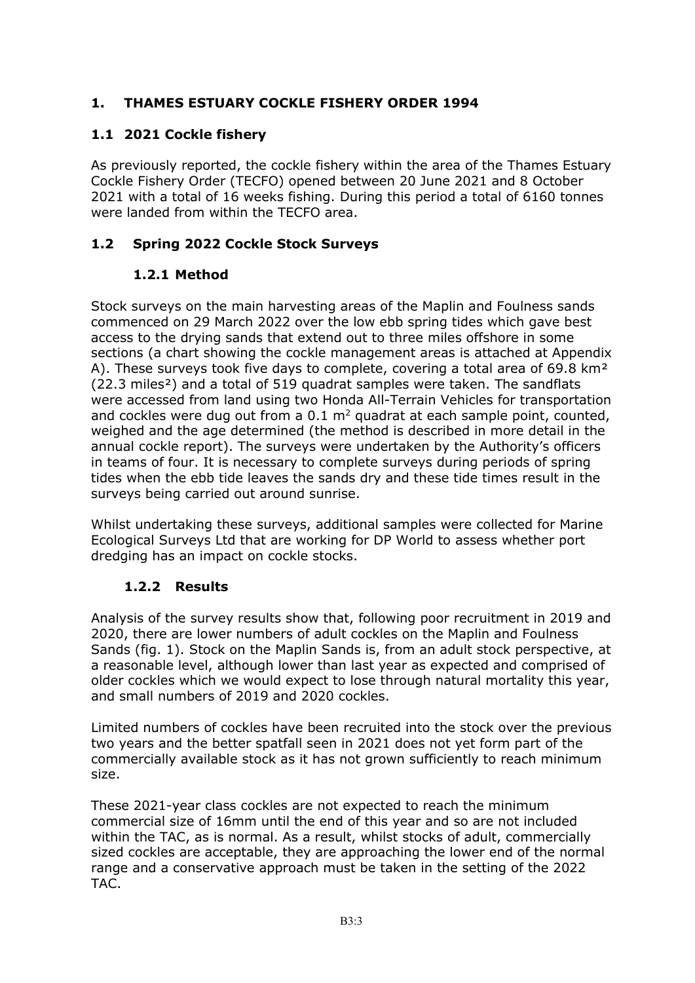### **1. THAMES ESTUARY COCKLE FISHERY ORDER 1994**

## **1.1 2021 Cockle fishery**

As previously reported, the cockle fishery within the area of the Thames Estuary Cockle Fishery Order (TECFO) opened between 20 June 2021 and 8 October 2021 with a total of 16 weeks fishing. During this period a total of 6160 tonnes were landed from within the TECFO area.

### **1.2 Spring 2022 Cockle Stock Surveys**

### **1.2.1 Method**

Stock surveys on the main harvesting areas of the Maplin and Foulness sands commenced on 29 March 2022 over the low ebb spring tides which gave best access to the drying sands that extend out to three miles offshore in some sections (a chart showing the cockle management areas is attached at Appendix A). These surveys took five days to complete, covering a total area of 69.8 km<sup>2</sup> (22.3 miles<sup>2</sup>) and a total of 519 quadrat samples were taken. The sandflats were accessed from land using two Honda All-Terrain Vehicles for transportation and cockles were dug out from a  $0.1 \text{ m}^2$  quadrat at each sample point, counted, weighed and the age determined (the method is described in more detail in the annual cockle report). The surveys were undertaken by the Authority's officers in teams of four. It is necessary to complete surveys during periods of spring tides when the ebb tide leaves the sands dry and these tide times result in the surveys being carried out around sunrise.

Whilst undertaking these surveys, additional samples were collected for Marine Ecological Surveys Ltd that are working for DP World to assess whether port dredging has an impact on cockle stocks.

### **1.2.2 Results**

Analysis of the survey results show that, following poor recruitment in 2019 and 2020, there are lower numbers of adult cockles on the Maplin and Foulness Sands (fig. 1). Stock on the Maplin Sands is, from an adult stock perspective, at a reasonable level, although lower than last year as expected and comprised of older cockles which we would expect to lose through natural mortality this year, and small numbers of 2019 and 2020 cockles.

Limited numbers of cockles have been recruited into the stock over the previous two years and the better spatfall seen in 2021 does not yet form part of the commercially available stock as it has not grown sufficiently to reach minimum size.

These 2021-year class cockles are not expected to reach the minimum commercial size of 16mm until the end of this year and so are not included within the TAC, as is normal. As a result, whilst stocks of adult, commercially sized cockles are acceptable, they are approaching the lower end of the normal range and a conservative approach must be taken in the setting of the 2022 TAC.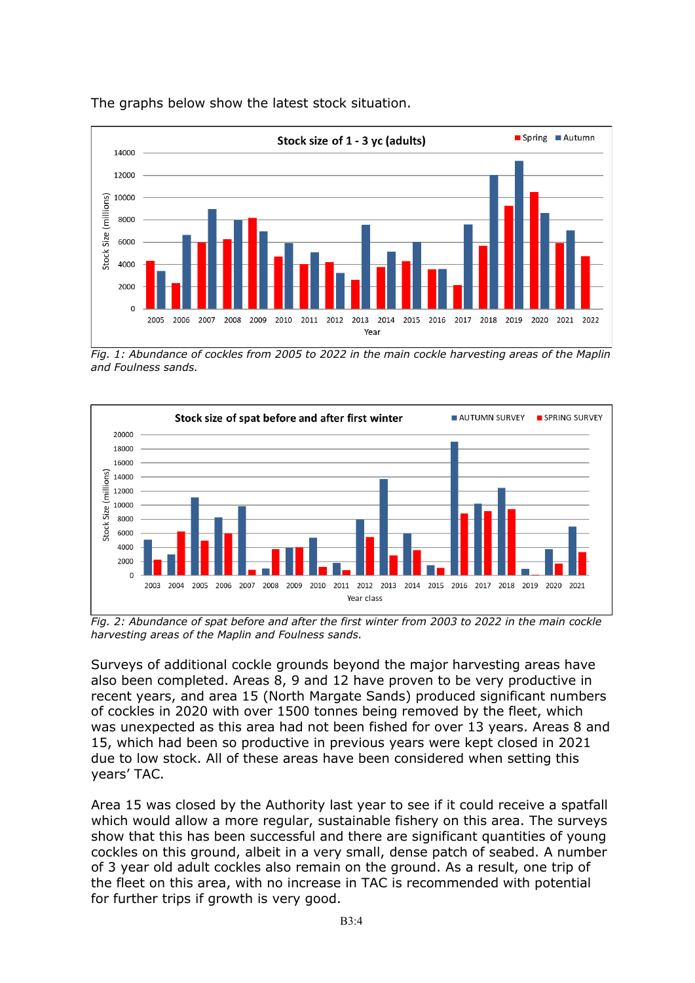

The graphs below show the latest stock situation.

*Fig. 1: Abundance of cockles from 2005 to 2022 in the main cockle harvesting areas of the Maplin and Foulness sands.*



*Fig. 2: Abundance of spat before and after the first winter from 2003 to 2022 in the main cockle harvesting areas of the Maplin and Foulness sands.*

Surveys of additional cockle grounds beyond the major harvesting areas have also been completed. Areas 8, 9 and 12 have proven to be very productive in recent years, and area 15 (North Margate Sands) produced significant numbers of cockles in 2020 with over 1500 tonnes being removed by the fleet, which was unexpected as this area had not been fished for over 13 years. Areas 8 and 15, which had been so productive in previous years were kept closed in 2021 due to low stock. All of these areas have been considered when setting this years' TAC.

Area 15 was closed by the Authority last year to see if it could receive a spatfall which would allow a more regular, sustainable fishery on this area. The surveys show that this has been successful and there are significant quantities of young cockles on this ground, albeit in a very small, dense patch of seabed. A number of 3 year old adult cockles also remain on the ground. As a result, one trip of the fleet on this area, with no increase in TAC is recommended with potential for further trips if growth is very good.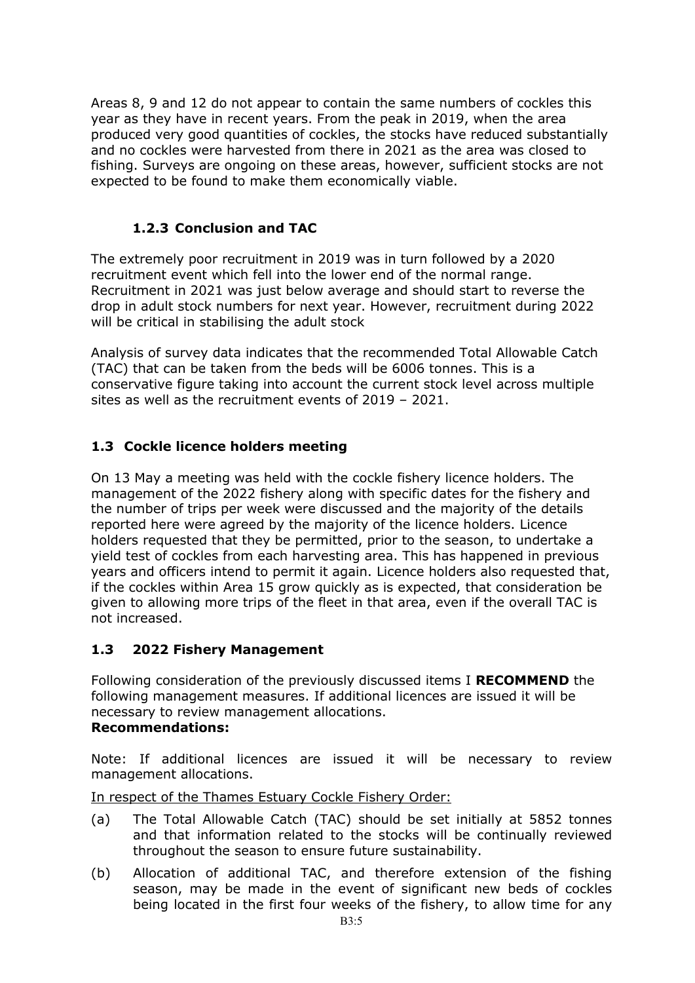Areas 8, 9 and 12 do not appear to contain the same numbers of cockles this year as they have in recent years. From the peak in 2019, when the area produced very good quantities of cockles, the stocks have reduced substantially and no cockles were harvested from there in 2021 as the area was closed to fishing. Surveys are ongoing on these areas, however, sufficient stocks are not expected to be found to make them economically viable.

### **1.2.3 Conclusion and TAC**

The extremely poor recruitment in 2019 was in turn followed by a 2020 recruitment event which fell into the lower end of the normal range. Recruitment in 2021 was just below average and should start to reverse the drop in adult stock numbers for next year. However, recruitment during 2022 will be critical in stabilising the adult stock

Analysis of survey data indicates that the recommended Total Allowable Catch (TAC) that can be taken from the beds will be 6006 tonnes. This is a conservative figure taking into account the current stock level across multiple sites as well as the recruitment events of 2019 – 2021.

### **1.3 Cockle licence holders meeting**

On 13 May a meeting was held with the cockle fishery licence holders. The management of the 2022 fishery along with specific dates for the fishery and the number of trips per week were discussed and the majority of the details reported here were agreed by the majority of the licence holders. Licence holders requested that they be permitted, prior to the season, to undertake a yield test of cockles from each harvesting area. This has happened in previous years and officers intend to permit it again. Licence holders also requested that, if the cockles within Area 15 grow quickly as is expected, that consideration be given to allowing more trips of the fleet in that area, even if the overall TAC is not increased.

### **1.3 2022 Fishery Management**

Following consideration of the previously discussed items I **RECOMMEND** the following management measures. If additional licences are issued it will be necessary to review management allocations.

#### **Recommendations:**

Note: If additional licences are issued it will be necessary to review management allocations.

In respect of the Thames Estuary Cockle Fishery Order:

- (a) The Total Allowable Catch (TAC) should be set initially at 5852 tonnes and that information related to the stocks will be continually reviewed throughout the season to ensure future sustainability.
- (b) Allocation of additional TAC, and therefore extension of the fishing season, may be made in the event of significant new beds of cockles being located in the first four weeks of the fishery, to allow time for any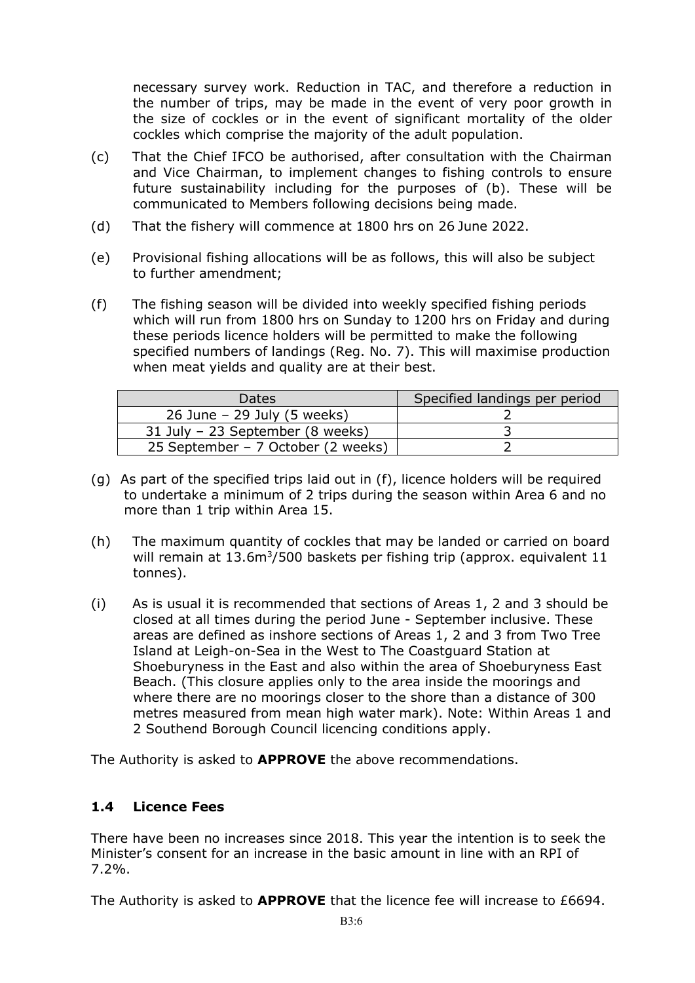necessary survey work. Reduction in TAC, and therefore a reduction in the number of trips, may be made in the event of very poor growth in the size of cockles or in the event of significant mortality of the older cockles which comprise the majority of the adult population.

- (c) That the Chief IFCO be authorised, after consultation with the Chairman and Vice Chairman, to implement changes to fishing controls to ensure future sustainability including for the purposes of (b). These will be communicated to Members following decisions being made.
- (d) That the fishery will commence at 1800 hrs on 26 June 2022.
- (e) Provisional fishing allocations will be as follows, this will also be subject to further amendment;
- (f) The fishing season will be divided into weekly specified fishing periods which will run from 1800 hrs on Sunday to 1200 hrs on Friday and during these periods licence holders will be permitted to make the following specified numbers of landings (Reg. No. 7). This will maximise production when meat yields and quality are at their best.

| Dates                              | Specified landings per period |
|------------------------------------|-------------------------------|
| 26 June $-$ 29 July (5 weeks)      |                               |
| 31 July - 23 September (8 weeks)   |                               |
| 25 September – 7 October (2 weeks) |                               |

- (g) As part of the specified trips laid out in (f), licence holders will be required to undertake a minimum of 2 trips during the season within Area 6 and no more than 1 trip within Area 15.
- (h) The maximum quantity of cockles that may be landed or carried on board will remain at 13.6m<sup>3</sup>/500 baskets per fishing trip (approx. equivalent 11 tonnes).
- (i) As is usual it is recommended that sections of Areas 1, 2 and 3 should be closed at all times during the period June - September inclusive. These areas are defined as inshore sections of Areas 1, 2 and 3 from Two Tree Island at Leigh-on-Sea in the West to The Coastguard Station at Shoeburyness in the East and also within the area of Shoeburyness East Beach. (This closure applies only to the area inside the moorings and where there are no moorings closer to the shore than a distance of 300 metres measured from mean high water mark). Note: Within Areas 1 and 2 Southend Borough Council licencing conditions apply.

The Authority is asked to **APPROVE** the above recommendations.

### **1.4 Licence Fees**

There have been no increases since 2018. This year the intention is to seek the Minister's consent for an increase in the basic amount in line with an RPI of 7.2%.

The Authority is asked to **APPROVE** that the licence fee will increase to £6694.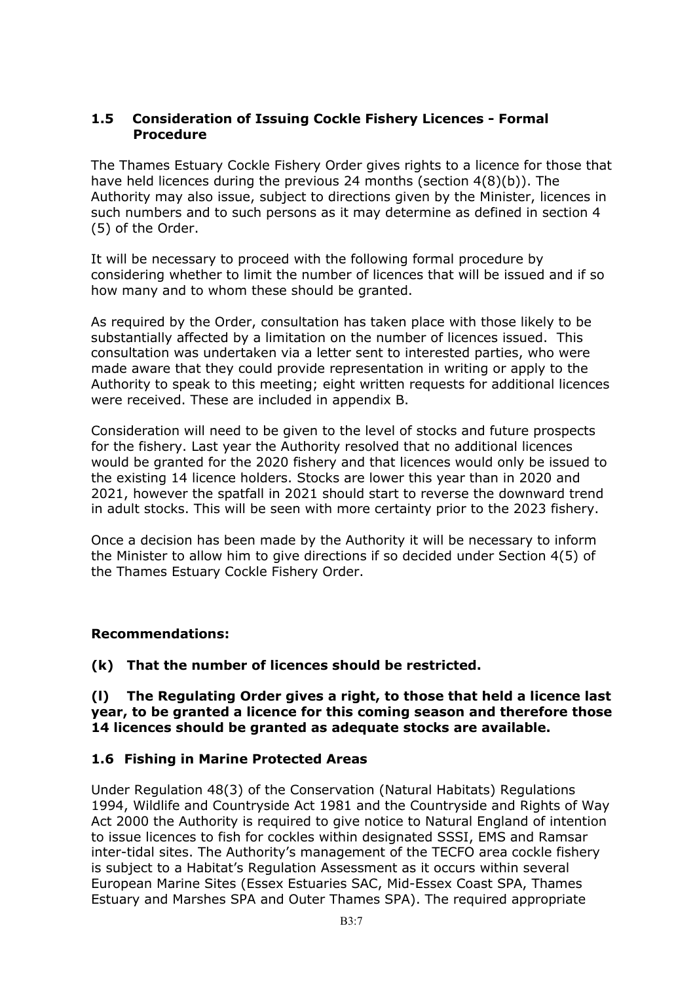#### **1.5 Consideration of Issuing Cockle Fishery Licences - Formal Procedure**

The Thames Estuary Cockle Fishery Order gives rights to a licence for those that have held licences during the previous 24 months (section 4(8)(b)). The Authority may also issue, subject to directions given by the Minister, licences in such numbers and to such persons as it may determine as defined in section 4 (5) of the Order.

It will be necessary to proceed with the following formal procedure by considering whether to limit the number of licences that will be issued and if so how many and to whom these should be granted.

As required by the Order, consultation has taken place with those likely to be substantially affected by a limitation on the number of licences issued. This consultation was undertaken via a letter sent to interested parties, who were made aware that they could provide representation in writing or apply to the Authority to speak to this meeting; eight written requests for additional licences were received. These are included in appendix B.

Consideration will need to be given to the level of stocks and future prospects for the fishery. Last year the Authority resolved that no additional licences would be granted for the 2020 fishery and that licences would only be issued to the existing 14 licence holders. Stocks are lower this year than in 2020 and 2021, however the spatfall in 2021 should start to reverse the downward trend in adult stocks. This will be seen with more certainty prior to the 2023 fishery.

Once a decision has been made by the Authority it will be necessary to inform the Minister to allow him to give directions if so decided under Section 4(5) of the Thames Estuary Cockle Fishery Order.

#### **Recommendations:**

**(k) That the number of licences should be restricted.** 

#### **(l) The Regulating Order gives a right, to those that held a licence last year, to be granted a licence for this coming season and therefore those 14 licences should be granted as adequate stocks are available.**

#### **1.6 Fishing in Marine Protected Areas**

Under Regulation 48(3) of the Conservation (Natural Habitats) Regulations 1994, Wildlife and Countryside Act 1981 and the Countryside and Rights of Way Act 2000 the Authority is required to give notice to Natural England of intention to issue licences to fish for cockles within designated SSSI, EMS and Ramsar inter-tidal sites. The Authority's management of the TECFO area cockle fishery is subject to a Habitat's Regulation Assessment as it occurs within several European Marine Sites (Essex Estuaries SAC, Mid-Essex Coast SPA, Thames Estuary and Marshes SPA and Outer Thames SPA). The required appropriate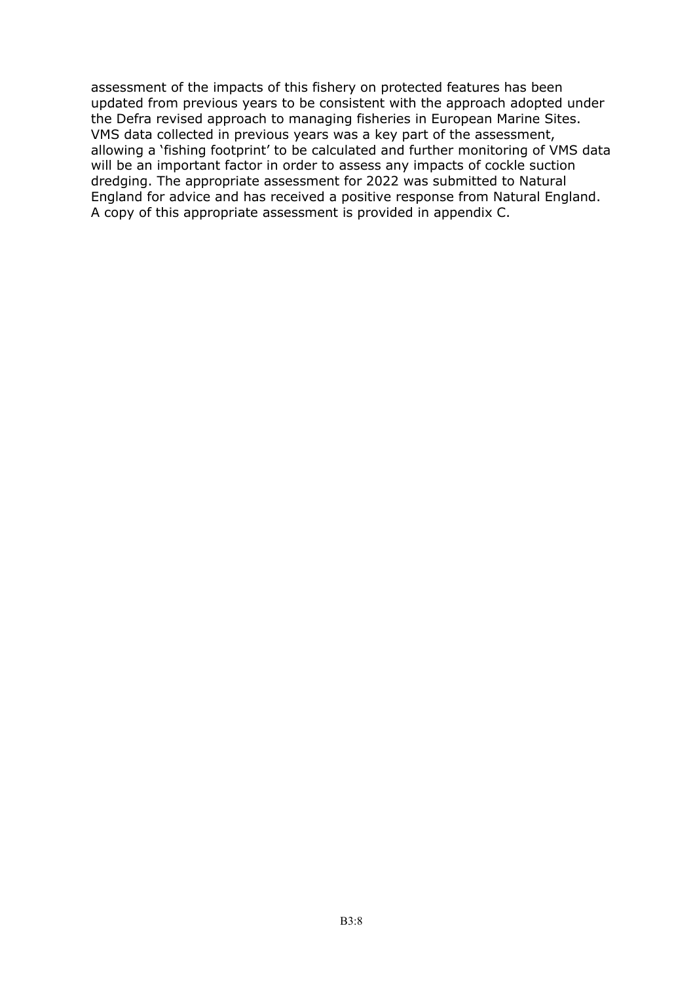assessment of the impacts of this fishery on protected features has been updated from previous years to be consistent with the approach adopted under the Defra revised approach to managing fisheries in European Marine Sites. VMS data collected in previous years was a key part of the assessment, allowing a 'fishing footprint' to be calculated and further monitoring of VMS data will be an important factor in order to assess any impacts of cockle suction dredging. The appropriate assessment for 2022 was submitted to Natural England for advice and has received a positive response from Natural England. A copy of this appropriate assessment is provided in appendix C.